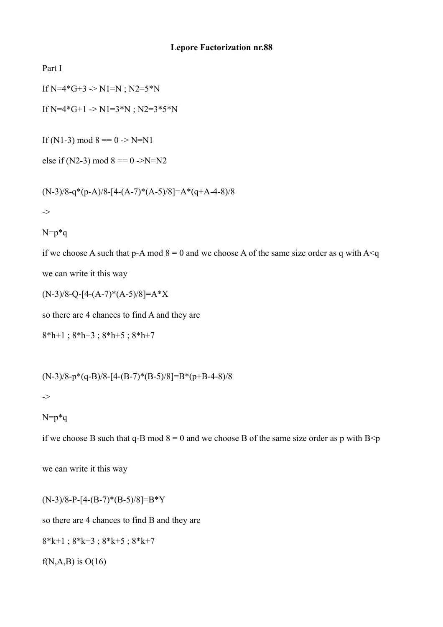Part I

If  $N=4*G+3$  ->  $N1=N$ ;  $N2=5*N$ 

If N=4\*G+1 -> N1=3\*N ; N2=3\*5\*N

If (N1-3) mod  $8 == 0$  -> N=N1

else if (N2-3) mod  $8 = 0$  ->N=N2

$$
(N-3)/8-q*(p-A)/8-[4-(A-7)*(A-5)/8]=A*(q+A-4-8)/8
$$

->

```
N=p^*q
```
if we choose A such that p-A mod  $8 = 0$  and we choose A of the same size order as q with A  $\leq q$ we can write it this way

$$
(N-3)/8 - Q - [4-(A-7)*(A-5)/8] = A*X
$$

so there are 4 chances to find A and they are

8\*h+1 ; 8\*h+3 ; 8\*h+5 ; 8\*h+7

$$
(N-3)/8-p*(q-B)/8-[4-(B-7)*(B-5)/8]=B*(p+B-4-8)/8
$$

->

N=p\*q

if we choose B such that q-B mod  $8 = 0$  and we choose B of the same size order as p with B $\leq p$ 

we can write it this way

 $(N-3)/8-P-[4-(B-7)*(B-5)/8]=B*Y$ so there are 4 chances to find B and they are

$$
8*k+1 ; 8*k+3 ; 8*k+5 ; 8*k+7
$$

 $f(N,A,B)$  is  $O(16)$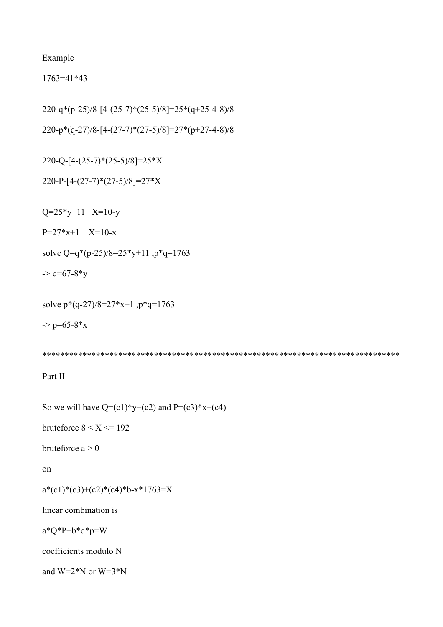Example

1763=41\*43

220-q\*(p-25)/8-[4-(25-7)\*(25-5)/8]=25\*(q+25-4-8)/8

220-p\*(q-27)/8-[4-(27-7)\*(27-5)/8]=27\*(p+27-4-8)/8

220-Q-[4-(25-7)\*(25-5)/8]=25\*X

220-P-[4-(27-7)\*(27-5)/8]=27\*X

 $Q=25*y+11$  X=10-y

 $P=27*x+1$   $X=10-x$ 

solve Q=q\*(p-25)/8=25\*y+11 ,p\*q=1763

 $\sim$  q=67-8\*y

solve p\*(q-27)/8=27\*x+1 ,p\*q=1763

 $-p=65-8*x$ 

\*\*\*\*\*\*\*\*\*\*\*\*\*\*\*\*\*\*\*\*\*\*\*\*\*\*\*\*\*\*\*\*\*\*\*\*\*\*\*\*\*\*\*\*\*\*\*\*\*\*\*\*\*\*\*\*\*\*\*\*\*\*\*\*\*\*\*\*\*\*\*\*\*\*\*\*\*\*\*\*

Part II

So we will have  $Q=(c1)*y+(c2)$  and  $P=(c3)*x+(c4)$ 

bruteforce  $8 < X \le 192$ 

bruteforce  $a > 0$ 

on

 $a*(c1)*(c2)*(c4)*b-x*1763=X$ 

linear combination is

 $a^*Q^*P+b^*q^*p=W$ 

coefficients modulo N

and  $W=2*N$  or  $W=3*N$